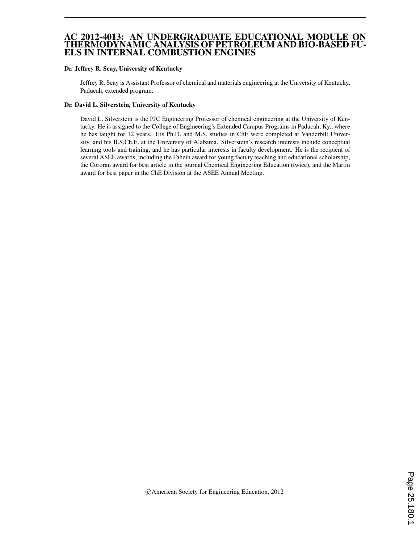#### AC 2012-4013: AN UNDERGRADUATE EDUCATIONAL MODULE ON THERMODYNAMIC ANALYSIS OF PETROLEUM AND BIO-BASED FU-ELS IN INTERNAL COMBUSTION ENGINES

#### Dr. Jeffrey R. Seay, University of Kentucky

Jeffrey R. Seay is Assistant Professor of chemical and materials engineering at the University of Kentucky, Paducah, extended program.

#### Dr. David L. Silverstein, University of Kentucky

David L. Silverstein is the PJC Engineering Professor of chemical engineering at the University of Kentucky. He is assigned to the College of Engineering's Extended Campus Programs in Paducah, Ky., where he has taught for 12 years. His Ph.D. and M.S. studies in ChE were completed at Vanderbilt University, and his B.S.Ch.E. at the University of Alabama. Silverstein's research interests include conceptual learning tools and training, and he has particular interests in faculty development. He is the recipient of several ASEE awards, including the Fahein award for young faculty teaching and educational scholarship, the Cororan award for best article in the journal Chemical Engineering Education (twice), and the Martin award for best paper in the ChE Division at the ASEE Annual Meeting.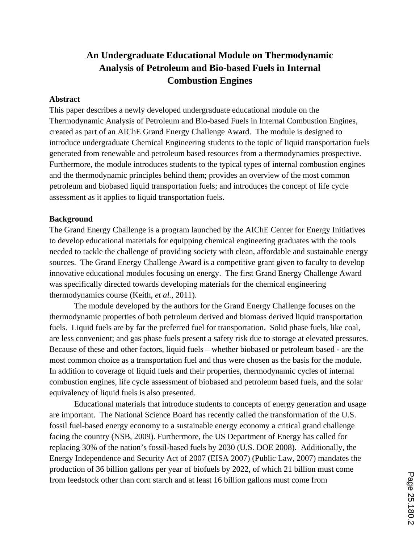# **An Undergraduate Educational Module on Thermodynamic Analysis of Petroleum and Bio-based Fuels in Internal Combustion Engines**

#### **Abstract**

This paper describes a newly developed undergraduate educational module on the Thermodynamic Analysis of Petroleum and Bio-based Fuels in Internal Combustion Engines, created as part of an AIChE Grand Energy Challenge Award. The module is designed to introduce undergraduate Chemical Engineering students to the topic of liquid transportation fuels generated from renewable and petroleum based resources from a thermodynamics prospective. Furthermore, the module introduces students to the typical types of internal combustion engines and the thermodynamic principles behind them; provides an overview of the most common petroleum and biobased liquid transportation fuels; and introduces the concept of life cycle assessment as it applies to liquid transportation fuels.

#### **Background**

The Grand Energy Challenge is a program launched by the AIChE Center for Energy Initiatives to develop educational materials for equipping chemical engineering graduates with the tools needed to tackle the challenge of providing society with clean, affordable and sustainable energy sources. The Grand Energy Challenge Award is a competitive grant given to faculty to develop innovative educational modules focusing on energy. The first Grand Energy Challenge Award was specifically directed towards developing materials for the chemical engineering thermodynamics course (Keith, *et al.*, 2011).

 The module developed by the authors for the Grand Energy Challenge focuses on the thermodynamic properties of both petroleum derived and biomass derived liquid transportation fuels. Liquid fuels are by far the preferred fuel for transportation. Solid phase fuels, like coal, are less convenient; and gas phase fuels present a safety risk due to storage at elevated pressures. Because of these and other factors, liquid fuels – whether biobased or petroleum based - are the most common choice as a transportation fuel and thus were chosen as the basis for the module. In addition to coverage of liquid fuels and their properties, thermodynamic cycles of internal combustion engines, life cycle assessment of biobased and petroleum based fuels, and the solar equivalency of liquid fuels is also presented.

Educational materials that introduce students to concepts of energy generation and usage are important. The National Science Board has recently called the transformation of the U.S. fossil fuel-based energy economy to a sustainable energy economy a critical grand challenge facing the country (NSB, 2009). Furthermore, the US Department of Energy has called for replacing 30% of the nation's fossil-based fuels by 2030 (U.S. DOE 2008). Additionally, the Energy Independence and Security Act of 2007 (EISA 2007) (Public Law, 2007) mandates the production of 36 billion gallons per year of biofuels by 2022, of which 21 billion must come from feedstock other than corn starch and at least 16 billion gallons must come from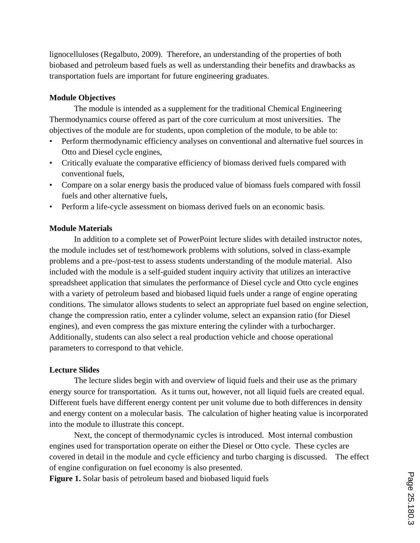lignocelluloses (Regalbuto, 2009). Therefore, an understanding of the properties of both biobased and petroleum based fuels as well as understanding their benefits and drawbacks as transportation fuels are important for future engineering graduates.

#### **Module Objectives**

The module is intended as a supplement for the traditional Chemical Engineering Thermodynamics course offered as part of the core curriculum at most universities. The objectives of the module are for students, upon completion of the module, to be able to:

- Perform thermodynamic efficiency analyses on conventional and alternative fuel sources in Otto and Diesel cycle engines,
- Critically evaluate the comparative efficiency of biomass derived fuels compared with conventional fuels,
- Compare on a solar energy basis the produced value of biomass fuels compared with fossil fuels and other alternative fuels,
- Perform a life-cycle assessment on biomass derived fuels on an economic basis.

#### **Module Materials**

In addition to a complete set of PowerPoint lecture slides with detailed instructor notes, the module includes set of test/homework problems with solutions, solved in class-example problems and a pre-/post-test to assess students understanding of the module material. Also included with the module is a self-guided student inquiry activity that utilizes an interactive spreadsheet application that simulates the performance of Diesel cycle and Otto cycle engines with a variety of petroleum based and biobased liquid fuels under a range of engine operating conditions. The simulator allows students to select an appropriate fuel based on engine selection, change the compression ratio, enter a cylinder volume, select an expansion ratio (for Diesel engines), and even compress the gas mixture entering the cylinder with a turbocharger. Additionally, students can also select a real production vehicle and choose operational parameters to correspond to that vehicle.

#### **Lecture Slides**

The lecture slides begin with and overview of liquid fuels and their use as the primary energy source for transportation. As it turns out, however, not all liquid fuels are created equal. Different fuels have different energy content per unit volume due to both differences in density and energy content on a molecular basis. The calculation of higher heating value is incorporated into the module to illustrate this concept.

Next, the concept of thermodynamic cycles is introduced. Most internal combustion engines used for transportation operate on either the Diesel or Otto cycle. These cycles are covered in detail in the module and cycle efficiency and turbo charging is discussed. The effect of engine configuration on fuel economy is also presented.

**Figure 1.** Solar basis of petroleum based and biobased liquid fuels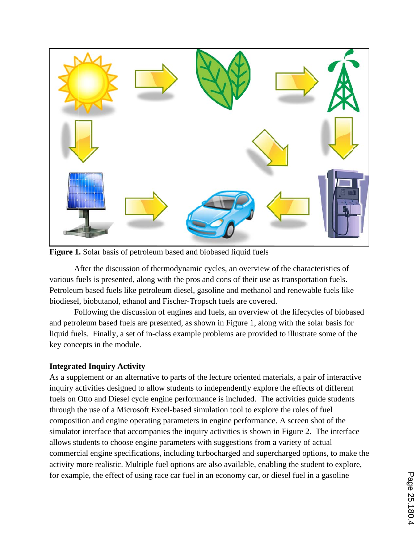

Figure 1. Solar basis of petroleum based and biobased liquid fuels

After the discussion of thermodynamic cycles, an overview of the characteristics of various fuels is presented, along with the pros and cons of their use as transportation fuels. Petroleum based fuels like petroleum diesel, gasoline and methanol and renewable fuels like biodiesel, biobutanol, ethanol and Fischer-Tropsch fuels are covered. Petroleum based fuels like petroleum diesel, gasoline and methanol and renewable fuels like<br>biodiesel, biobutanol, ethanol and Fischer-Tropsch fuels are covered.<br>Following the discussion of engines and fuels, an overview o

and petroleum based fuels are presented, as shown in Figure 1, along with the solar basis for and petroleum based fuels are presented, as shown in Figure 1, along with the solar basis for<br>liquid fuels. Finally, a set of in-class example problems are provided to illustrate some of the key concepts in the module.

## **Integrated Inquiry Activity**

As a supplement or an alternative to parts of the lecture oriented materials, a pair of interactive inquiry activities designed to allow students to independently explore the effects of different fuels on Otto and Diesel cycle engine performance is included. The activities guide students through the use of a Microsoft Excel-based simulation tool to explore the roles of fuel composition and engine operating parameters in engine performance. A screen shot of the fuels on Otto and Diesel cycle engine performance is included. The activities guide students<br>through the use of a Microsoft Excel-based simulation tool to explore the roles of fuel<br>composition and engine operating paramete allows students to choose engine parameters with suggestions from a variety of actual commercial engine specifications, including turbocharged and supercharged options, to make the activity more realistic. Multiple fuel options are also available, enabling the student to explore, for example, the effect of using race car fuel in an economy car, or diesel fuel in a gasoline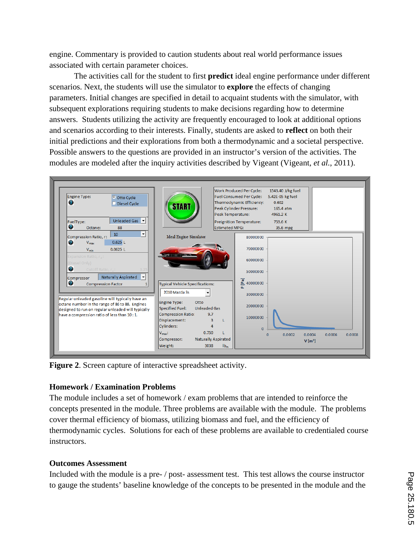engine. Commentary is provided to caution students about real world performance issues associated with certain parameter choices.

 The activities call for the student to first **predict** ideal engine performance under different scenarios. Next, the students will use the simulator to **explore** the effects of changing parameters. Initial changes are specified in detail to acquaint students with the simulator, with subsequent explorations requiring students to make decisions regarding how to determine answers. Students utilizing the activity are frequently encouraged to look at additional options and scenarios according to their interests. Finally, students are asked to **reflect** on both their initial predictions and their explorations from both a thermodynamic and a societal perspective. Possible answers to the questions are provided in an instructor's version of the activities. The modules are modeled after the inquiry activities described by Vigeant (Vigeant, *et al.*, 2011).



**Figure 2**. Screen capture of interactive spreadsheet activity.

# **Homework / Examination Problems**

The module includes a set of homework / exam problems that are intended to reinforce the concepts presented in the module. Three problems are available with the module. The problems cover thermal efficiency of biomass, utilizing biomass and fuel, and the efficiency of thermodynamic cycles. Solutions for each of these problems are available to credentialed course instructors.

# **Outcomes Assessment**

Included with the module is a pre- / post- assessment test. This test allows the course instructor to gauge the students' baseline knowledge of the concepts to be presented in the module and the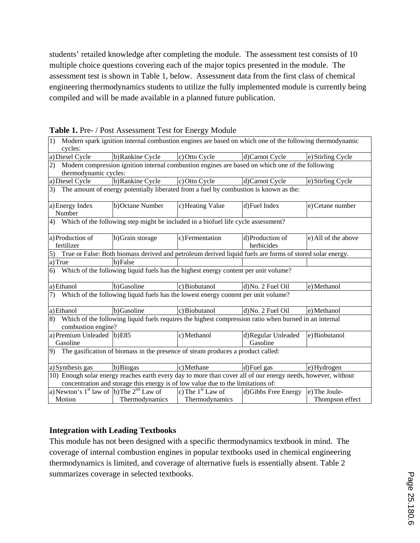students' retailed knowledge after completing the module. The assessment test consists of 10 multiple choice questions covering each of the major topics presented in the module. The assessment test is shown in Table 1, below. Assessment data from the first class of chemical engineering thermodynamics students to utilize the fully implemented module is currently being compiled and will be made available in a planned future publication.

| 1) Modern spark ignition internal combustion engines are based on which one of the following thermodynamic                                                                                       |                                 |                     |                                |                     |  |  |
|--------------------------------------------------------------------------------------------------------------------------------------------------------------------------------------------------|---------------------------------|---------------------|--------------------------------|---------------------|--|--|
| cycles:                                                                                                                                                                                          |                                 |                     |                                |                     |  |  |
| a) Diesel Cycle                                                                                                                                                                                  | b) Rankine Cycle                | c) Otto Cycle       | d) Carnot Cycle                | e) Stirling Cycle   |  |  |
| 2) Modern compression ignition internal combustion engines are based on which one of the following                                                                                               |                                 |                     |                                |                     |  |  |
| thermodynamic cycles:                                                                                                                                                                            |                                 |                     |                                |                     |  |  |
| a) Diesel Cycle                                                                                                                                                                                  | b) Rankine Cycle                | c) Otto Cycle       | d) Carnot Cycle                | e) Stirling Cycle   |  |  |
| 3) The amount of energy potentially liberated from a fuel by combustion is known as the:                                                                                                         |                                 |                     |                                |                     |  |  |
| a) Energy Index<br>Number                                                                                                                                                                        | b) Octane Number                | c) Heating Value    | d)Fuel Index                   | e) Cetane number    |  |  |
| 4) Which of the following step might be included in a biofuel life cycle assessment?                                                                                                             |                                 |                     |                                |                     |  |  |
| a) Production of<br>fertilizer                                                                                                                                                                   | b) Grain storage                | c) Fermentation     | d)Production of<br>herbicides  | e) All of the above |  |  |
| True or False: Both biomass derived and petroleum derived liquid fuels are forms of stored solar energy.<br>$\overline{5}$                                                                       |                                 |                     |                                |                     |  |  |
| a) True                                                                                                                                                                                          | b)False                         |                     |                                |                     |  |  |
| 6) Which of the following liquid fuels has the highest energy content per unit volume?                                                                                                           |                                 |                     |                                |                     |  |  |
| a) Ethanol                                                                                                                                                                                       | b)Gasoline                      | c) Biobutanol       | d) No. 2 Fuel Oil              | e) Methanol         |  |  |
| 7)<br>Which of the following liquid fuels has the lowest energy content per unit volume?                                                                                                         |                                 |                     |                                |                     |  |  |
| a) Ethanol                                                                                                                                                                                       | b)Gasoline                      | c) Biobutanol       | d) No. 2 Fuel Oil              | e) Methanol         |  |  |
| Which of the following liquid fuels requires the highest compression ratio when burned in an internal<br>8)<br>combustion engine?                                                                |                                 |                     |                                |                     |  |  |
| a) Premium Unleaded $ b\rangle$ E85<br>Gasoline                                                                                                                                                  |                                 | c) Methanol         | d)Regular Unleaded<br>Gasoline | e) Biobutanol       |  |  |
| 9) The gasification of biomass in the presence of steam produces a product called:                                                                                                               |                                 |                     |                                |                     |  |  |
| a) Synthesis gas                                                                                                                                                                                 | b) Biogas                       | c) Methane          | d) Fuel gas                    | e) Hydrogen         |  |  |
| 10) Enough solar energy reaches earth every day to more than cover all of our energy needs, however, without<br>concentration and storage this energy is of low value due to the limitations of: |                                 |                     |                                |                     |  |  |
| a) Newton's $1st$ law of $\vert b \rangle$ The $2nd$ Law of                                                                                                                                      |                                 | c) The $1st$ Law of | d) Gibbs Free Energy           | e) The Joule-       |  |  |
| Motion                                                                                                                                                                                           | Thermodynamics   Thermodynamics |                     |                                | Thompson effect     |  |  |

**Table 1.** Pre- / Post Assessment Test for Energy Module

## **Integration with Leading Textbooks**

This module has not been designed with a specific thermodynamics textbook in mind. The coverage of internal combustion engines in popular textbooks used in chemical engineering thermodynamics is limited, and coverage of alternative fuels is essentially absent. Table 2 summarizes coverage in selected textbooks.